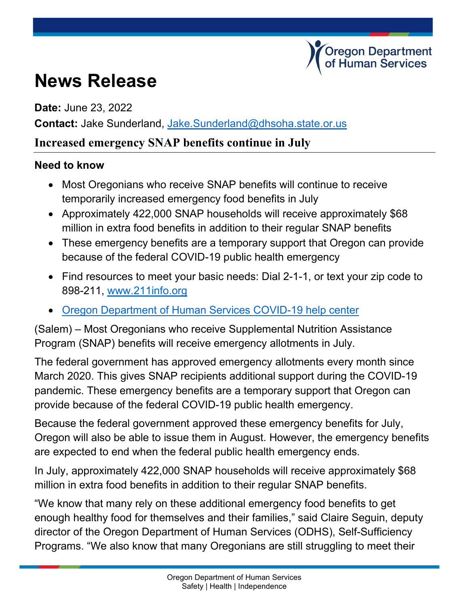## **News Release**

**Date:** June 23, 2022

**Contact:** Jake Sunderland, [Jake.Sunderland@dhsoha.state.or.us](mailto:Jake.Sunderland@dhsoha.state.or.us)

## **Increased emergency SNAP benefits continue in July**

## **Need to know**

- Most Oregonians who receive SNAP benefits will continue to receive temporarily increased emergency food benefits in July
- Approximately 422,000 SNAP households will receive approximately \$68 million in extra food benefits in addition to their regular SNAP benefits
- These emergency benefits are a temporary support that Oregon can provide because of the federal COVID-19 public health emergency

.<br>Oregon Department<br>of Human Services

- Find resources to meet your basic needs: Dial 2-1-1, or text your zip code to 898-211, [www.211info.org](http://www.211info.org/)
- [Oregon Department of Human Services COVID-19 help center](https://www.oregon.gov/dhs/Pages/COVID-19.aspx)

(Salem) – Most Oregonians who receive Supplemental Nutrition Assistance Program (SNAP) benefits will receive emergency allotments in July.

The federal government has approved emergency allotments every month since March 2020. This gives SNAP recipients additional support during the COVID-19 pandemic. These emergency benefits are a temporary support that Oregon can provide because of the federal COVID-19 public health emergency.

Because the federal government approved these emergency benefits for July, Oregon will also be able to issue them in August. However, the emergency benefits are expected to end when the federal public health emergency ends.

In July, approximately 422,000 SNAP households will receive approximately \$68 million in extra food benefits in addition to their regular SNAP benefits.

"We know that many rely on these additional emergency food benefits to get enough healthy food for themselves and their families," said Claire Seguin, deputy director of the Oregon Department of Human Services (ODHS), Self-Sufficiency Programs. "We also know that many Oregonians are still struggling to meet their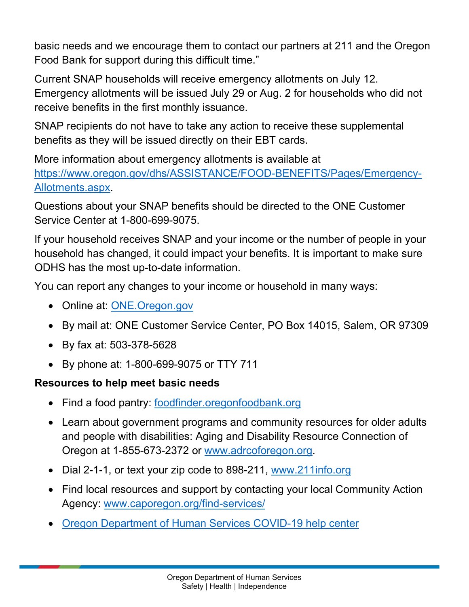basic needs and we encourage them to contact our partners at 211 and the Oregon Food Bank for support during this difficult time."

Current SNAP households will receive emergency allotments on July 12. Emergency allotments will be issued July 29 or Aug. 2 for households who did not receive benefits in the first monthly issuance.

SNAP recipients do not have to take any action to receive these supplemental benefits as they will be issued directly on their EBT cards.

More information about emergency allotments is available at [https://www.oregon.gov/dhs/ASSISTANCE/FOOD-BENEFITS/Pages/Emergency-](https://www.oregon.gov/dhs/ASSISTANCE/FOOD-BENEFITS/Pages/Emergency-Allotments.aspx)[Allotments.aspx.](https://www.oregon.gov/dhs/ASSISTANCE/FOOD-BENEFITS/Pages/Emergency-Allotments.aspx)

Questions about your SNAP benefits should be directed to the ONE Customer Service Center at 1-800-699-9075.

If your household receives SNAP and your income or the number of people in your household has changed, it could impact your benefits. It is important to make sure ODHS has the most up-to-date information.

You can report any changes to your income or household in many ways:

- Online at: ONE. Oregon.gov
- By mail at: ONE Customer Service Center, PO Box 14015, Salem, OR 97309
- By fax at: 503-378-5628
- By phone at: 1-800-699-9075 or TTY 711

## **Resources to help meet basic needs**

- Find a food pantry: [foodfinder.oregonfoodbank.org](https://foodfinder.oregonfoodbank.org/)
- Learn about government programs and community resources for older adults and people with disabilities: Aging and Disability Resource Connection of Oregon at 1-855-673-2372 or [www.adrcoforegon.org.](http://www.adrcoforegon.org/)
- Dial 2-1-1, or text your zip code to 898-211, www.211info.org
- Find local resources and support by contacting your local Community Action Agency: [www.caporegon.org/find-services/](http://www.caporegon.org/find-services/)
- [Oregon Department of Human Services COVID-19 help center](https://www.oregon.gov/dhs/Pages/COVID-19.aspx)